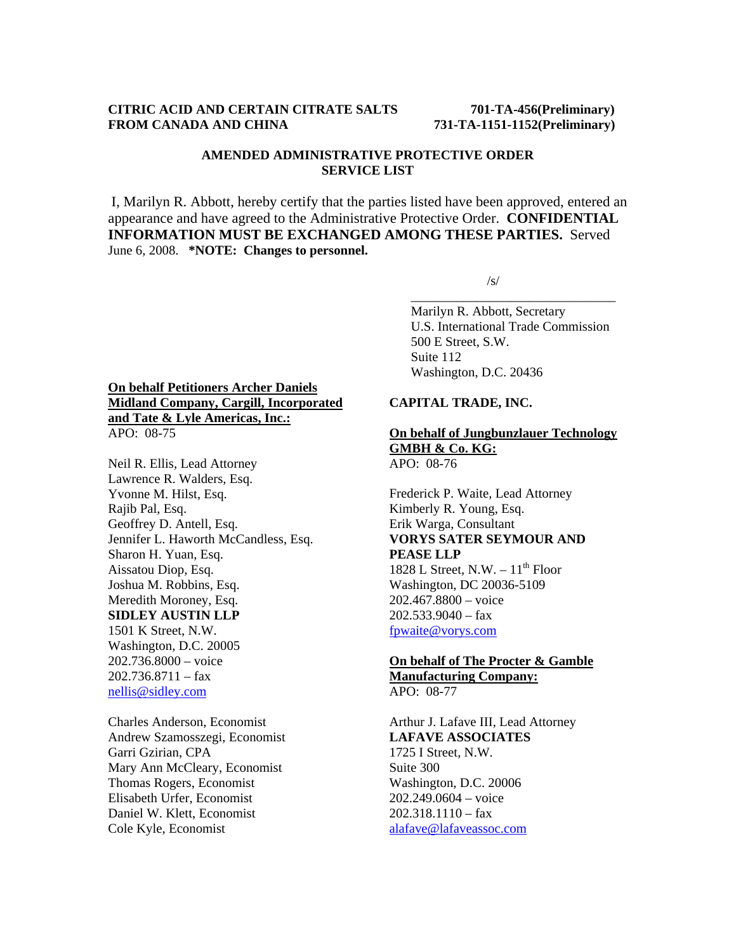## **CITRIC ACID AND CERTAIN CITRATE SALTS 701-TA-456(Preliminary) FROM CANADA AND CHINA 731-TA-1151-1152(Preliminary)**

## **AMENDED ADMINISTRATIVE PROTECTIVE ORDER SERVICE LIST**

I, Marilyn R. Abbott, hereby certify that the parties listed have been approved, entered an appearance and have agreed to the Administrative Protective Order. **CONFIDENTIAL INFORMATION MUST BE EXCHANGED AMONG THESE PARTIES.** Served June 6, 2008. **\*NOTE: Changes to personnel.** 

 $\overline{\phantom{a}}$  , and the contract of the contract of the contract of the contract of the contract of the contract of the contract of the contract of the contract of the contract of the contract of the contract of the contrac

 $\sqrt{s}$ /s/

 Marilyn R. Abbott, Secretary U.S. International Trade Commission 500 E Street, S.W. Suite 112 Washington, D.C. 20436

# **On behalf Petitioners Archer Daniels Midland Company, Cargill, Incorporated and Tate & Lyle Americas, Inc.:** APO: 08-75

Neil R. Ellis, Lead Attorney Lawrence R. Walders, Esq. Yvonne M. Hilst, Esq. Rajib Pal, Esq. Geoffrey D. Antell, Esq. Jennifer L. Haworth McCandless, Esq. Sharon H. Yuan, Esq. Aissatou Diop, Esq. Joshua M. Robbins, Esq. Meredith Moroney, Esq. **SIDLEY AUSTIN LLP** 1501 K Street, N.W. Washington, D.C. 20005 202.736.8000 – voice  $202.736.8711 - \text{fax}$ nellis@sidley.com

Charles Anderson, Economist Andrew Szamosszegi, Economist Garri Gzirian, CPA Mary Ann McCleary, Economist Thomas Rogers, Economist Elisabeth Urfer, Economist Daniel W. Klett, Economist Cole Kyle, Economist

# **CAPITAL TRADE, INC.**

#### **On behalf of Jungbunzlauer Technology GMBH & Co. KG:** APO: 08-76

Frederick P. Waite, Lead Attorney Kimberly R. Young, Esq. Erik Warga, Consultant **VORYS SATER SEYMOUR AND PEASE LLP** 1828 L Street, N.W.  $-11^{th}$  Floor Washington, DC 20036-5109 202.467.8800 – voice

 $202.533.9040 - fax$ fpwaite@vorys.com

## **On behalf of The Procter & Gamble Manufacturing Company:** APO: 08-77

Arthur J. Lafave III, Lead Attorney **LAFAVE ASSOCIATES**  1725 I Street, N.W. Suite 300 Washington, D.C. 20006 202.249.0604 – voice  $202.318.1110 -$  fax alafave@lafaveassoc.com